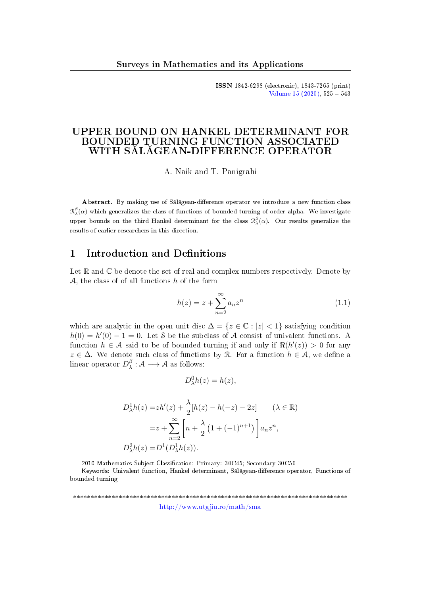ISSN 1842-6298 (electronic), 1843-7265 (print) Volume  $15$   $(2020)$ ,  $525 - 543$ 

## UPPER BOUND ON HANKEL DETERMINANT FOR BOUNDED TURNING FUNCTION ASSOCIATED WITH SĂLĂGEAN-DIFFERENCE OPERATOR

A. Naik and T. Panigrahi

Abstract. By making use of Sălăgean-difference operator we introduce a new function class  $\mathcal{R}^\beta_\lambda(\alpha)$  which generalizes the class of functions of bounded turning of order alpha. We investigate upper bounds on the third Hankel determinant for the class  $\mathcal{R}^{\beta}_{\lambda}(\alpha)$ . Our results generalize the results of earlier researchers in this direction.

#### 1 Introduction and Definitions

Let  $\mathbb R$  and  $\mathbb C$  be denote the set of real and complex numbers respectively. Denote by  $A$ , the class of of all functions h of the form

<span id="page-0-0"></span>
$$
h(z) = z + \sum_{n=2}^{\infty} a_n z^n \tag{1.1}
$$

which are analytic in the open unit disc  $\Delta = \{z \in \mathbb{C} : |z| < 1\}$  satisfying condition  $h(0) = h'(0) - 1 = 0$ . Let S be the subclass of A consist of univalent functions. A function  $h \in \mathcal{A}$  said to be of bounded turning if and only if  $\Re(h'(z)) > 0$  for any  $z \in \Delta$ . We denote such class of functions by R. For a function  $h \in \mathcal{A}$ , we define a linear operator  $D_\lambda^\beta$  $\lambda^{\beta}: \mathcal{A} \longrightarrow \mathcal{A}$  as follows:

$$
D_{\lambda}^{0}h(z) = h(z),
$$

$$
D_{\lambda}^{1}h(z) = zh'(z) + \frac{\lambda}{2}[h(z) - h(-z) - 2z] \qquad (\lambda \in \mathbb{R})
$$

$$
= z + \sum_{n=2}^{\infty} \left[ n + \frac{\lambda}{2} \left( 1 + (-1)^{n+1} \right) \right] a_n z^n,
$$

$$
D_{\lambda}^{2}h(z) = D^{1}(D_{\lambda}^{1}h(z)).
$$

2010 Mathematics Subject Classification: Primary: 30C45; Secondary 30C50

Keywords: Univalent function, Hankel determinant, Sălăgean-difference operator, Functions of bounded turning

\*\*\*\*\*\*\*\*\*\*\*\*\*\*\*\*\*\*\*\*\*\*\*\*\*\*\*\*\*\*\*\*\*\*\*\*\*\*\*\*\*\*\*\*\*\*\*\*\*\*\*\*\*\*\*\*\*\*\*\*\*\*\*\*\*\*\*\*\*\*\*\*\*\*\*\*\*\* <http://www.utgjiu.ro/math/sma>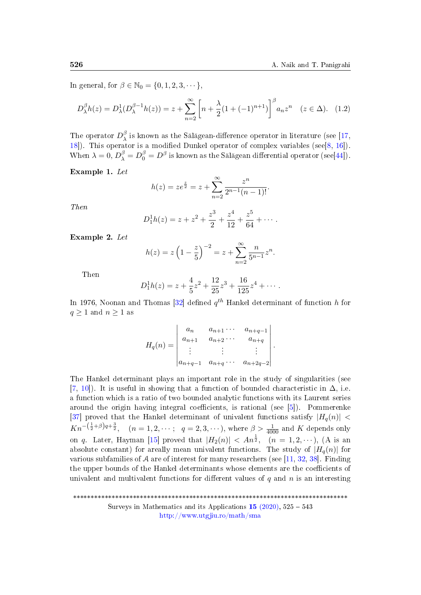In general, for  $\beta \in \mathbb{N}_0 = \{0, 1, 2, 3, \dots\}$ ,

$$
D_{\lambda}^{\beta}h(z) = D_{\lambda}^1(D_{\lambda}^{\beta-1}h(z)) = z + \sum_{n=2}^{\infty} \left[ n + \frac{\lambda}{2} (1 + (-1)^{n+1}) \right]^{\beta} a_n z^n \quad (z \in \Delta). \tag{1.2}
$$

The operator  $D_\lambda^\beta$  $\frac{\rho}{\lambda}$  is known as the Sălăgean-difference operator in literature (see [\[17,](#page-14-0) [18\]](#page-15-0)). This operator is a modified Dunkel operator of complex variables (see[\[8,](#page-14-1) [16\]](#page-14-2)). When  $\lambda = 0$ ,  $D_{\lambda}^{\beta} = D_0^{\beta} = D^{\beta}$  is known as the Sălăgean differential operator (see[\[44\]](#page-17-0)).

Example 1. Let

$$
h(z) = ze^{\frac{z}{2}} = z + \sum_{n=2}^{\infty} \frac{z^n}{2^{n-1}(n-1)!}.
$$

Then

$$
D_1^1 h(z) = z + z^2 + \frac{z^3}{2} + \frac{z^4}{12} + \frac{z^5}{64} + \cdots
$$

Example 2. Let

$$
h(z) = z \left( 1 - \frac{z}{5} \right)^{-2} = z + \sum_{n=2}^{\infty} \frac{n}{5^{n-1}} z^n.
$$

Then

$$
D_1^1 h(z) = z + \frac{4}{5}z^2 + \frac{12}{25}z^3 + \frac{16}{125}z^4 + \cdots
$$

In 1976, Noonan and Thomas [\[32\]](#page-16-0) defined  $q^{th}$  Hankel determinant of function h for  $q \geq 1$  and  $n \geq 1$  as

$$
H_q(n) = \begin{vmatrix} a_n & a_{n+1} \cdots & a_{n+q-1} \\ a_{n+1} & a_{n+2} \cdots & a_{n+q} \\ \vdots & \vdots & \ddots & \vdots \\ a_{n+q-1} & a_{n+q} \cdots & a_{n+2q-2} \end{vmatrix}.
$$

The Hankel determinant plays an important role in the study of singularities (see [\[7,](#page-14-3) [10\]](#page-14-4)). It is useful in showing that a function of bounded characteristic in  $\Delta$ , i.e. a function which is a ratio of two bounded analytic functions with its Laurent series around the origin having integral coefficients, is rational (see [\[5\]](#page-14-5)). Pommerenke [\[37\]](#page-16-1) proved that the Hankel determinant of univalent functions satisfy  $|H_q(n)| <$  $Kn^{-\left(\frac{1}{2}+\beta\right)q+\frac{3}{2}}, \quad (n=1,2,\cdots; \quad q=2,3,\cdots), \text{ where } \beta > \frac{1}{4000} \text{ and } K \text{ depends only}$ on q. Later, Hayman [\[15\]](#page-14-6) proved that  $|H_2(n)| < An^{\frac{1}{2}}$ ,  $(n = 1, 2, \cdots)$ , (A is an absolute constant) for areally mean univalent functions. The study of  $|H_q(n)|$  for various subfamilies of A are of interest for many researchers (see [\[11,](#page-14-7) [32,](#page-16-0) [38\]](#page-16-2). Finding the upper bounds of the Hankel determinants whose elements are the coefficients of univalent and multivalent functions for different values of  $q$  and  $n$  is an interesting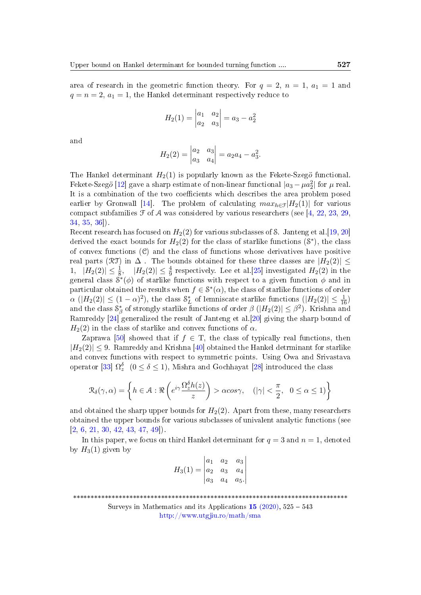area of research in the geometric function theory. For  $q = 2$ ,  $n = 1$ ,  $a_1 = 1$  and  $q = n = 2, a_1 = 1$ , the Hankel determinant respectively reduce to

$$
H_2(1) = \begin{vmatrix} a_1 & a_2 \\ a_2 & a_3 \end{vmatrix} = a_3 - a_2^2
$$

and

$$
H_2(2) = \begin{vmatrix} a_2 & a_3 \\ a_3 & a_4 \end{vmatrix} = a_2 a_4 - a_3^2.
$$

The Hankel determinant  $H_2(1)$  is popularly known as the Fekete-Szegö functional. Fekete-Szegö [\[12\]](#page-14-8) gave a sharp estimate of non-linear functional  $|a_3 - \mu a_2^2|$  for  $\mu$  real. It is a combination of the two coefficients which describes the area problem posed earlier by Gronwall [\[14\]](#page-14-9). The problem of calculating  $max_{h \in \mathcal{F}}|H_2(1)|$  for various compact subfamilies  $\mathcal F$  of  $\mathcal A$  was considered by various researchers (see [\[4,](#page-13-0) [22,](#page-15-1) [23,](#page-15-2) [29,](#page-15-3) [34,](#page-16-3) [35,](#page-16-4) [36\]](#page-16-5)).

Recent research has focused on  $H_2(2)$  for various subclasses of S. Janteng et al. [\[19,](#page-15-4) [20\]](#page-15-5) derived the exact bounds for  $H_2(2)$  for the class of starlike functions  $(8^*)$ , the class of convex functions  $(\mathcal{C})$  and the class of functions whose derivatives have positive real parts (RT) in  $\Delta$ . The bounds obtained for these three classes are  $|H_2(2)| \le$ 1,  $|H_2(2)| \leq \frac{1}{8}$ ,  $|H_2(2)| \leq \frac{4}{9}$  respectively. Lee et al. [\[25\]](#page-15-6) investigated  $H_2(2)$  in the general class  $S^*(\phi)$  of starlike functions with respect to a given function  $\phi$  and in particular obtained the results when  $f \in \mathcal{S}^*(\alpha)$ , the class of starlike functions of order  $\alpha$  ( $|H_2(2)| \leq (1-\alpha)^2$ ), the class  $S_L^*$  of lemniscate starlike functions ( $|H_2(2)| \leq \frac{1}{16}$ ) and the class  $\mathcal{S}_\beta^*$  of strongly starlike functions of order  $\beta$   $(|H_2(2)| \leq \beta^2)$ . Krishna and Ramreddy [\[24\]](#page-15-7) generalized the result of Janteng et al.[\[20\]](#page-15-5) giving the sharp bound of  $H_2(2)$  in the class of starlike and convex functions of  $\alpha$ .

Zaprawa [\[50\]](#page-17-1) showed that if  $f \in T$ , the class of typically real functions, then  $|H_2(2)| \leq 9$ . Ramreddy and Krishna [\[40\]](#page-16-6) obtained the Hankel detrminant for starlike and convex functions with respect to symmetric points. Using Owa and Srivastava operator [\[33\]](#page-16-7)  $\Omega_z^{\delta}$  ( $0 \le \delta \le 1$ ), Mishra and Gochhayat [\[28\]](#page-15-8) introduced the class

$$
\mathcal{R}_{\delta}(\gamma,\alpha) = \left\{ h \in \mathcal{A} : \Re\left(e^{i\gamma} \frac{\Omega_z^{\delta} h(z)}{z}\right) > \alpha \cos \gamma, \quad (|\gamma| < \frac{\pi}{2}, \quad 0 \le \alpha \le 1) \right\}
$$

and obtained the sharp upper bounds for  $H_2(2)$ . Apart from these, many researchers obtained the upper bounds for various subclasses of univalent analytic functions (see  $[2, 6, 21, 30, 42, 43, 47, 49]$  $[2, 6, 21, 30, 42, 43, 47, 49]$  $[2, 6, 21, 30, 42, 43, 47, 49]$  $[2, 6, 21, 30, 42, 43, 47, 49]$  $[2, 6, 21, 30, 42, 43, 47, 49]$  $[2, 6, 21, 30, 42, 43, 47, 49]$  $[2, 6, 21, 30, 42, 43, 47, 49]$  $[2, 6, 21, 30, 42, 43, 47, 49]$  $[2, 6, 21, 30, 42, 43, 47, 49]$  $[2, 6, 21, 30, 42, 43, 47, 49]$  $[2, 6, 21, 30, 42, 43, 47, 49]$  $[2, 6, 21, 30, 42, 43, 47, 49]$  $[2, 6, 21, 30, 42, 43, 47, 49]$  $[2, 6, 21, 30, 42, 43, 47, 49]$  $[2, 6, 21, 30, 42, 43, 47, 49]$ 

In this paper, we focus on third Hankel determinant for  $q = 3$  and  $n = 1$ , denoted by  $H_3(1)$  given by

|                                                                             |  | $ a_1 \quad a_2 \quad a_3 $ |  |
|-----------------------------------------------------------------------------|--|-----------------------------|--|
| $H_3(1) = \begin{vmatrix} a_2 & a_3 & a_4 \\ a_3 & a_4 & a_5 \end{vmatrix}$ |  |                             |  |
|                                                                             |  |                             |  |

\*\*\*\*\*\*\*\*\*\*\*\*\*\*\*\*\*\*\*\*\*\*\*\*\*\*\*\*\*\*\*\*\*\*\*\*\*\*\*\*\*\*\*\*\*\*\*\*\*\*\*\*\*\*\*\*\*\*\*\*\*\*\*\*\*\*\*\*\*\*\*\*\*\*\*\*\*\*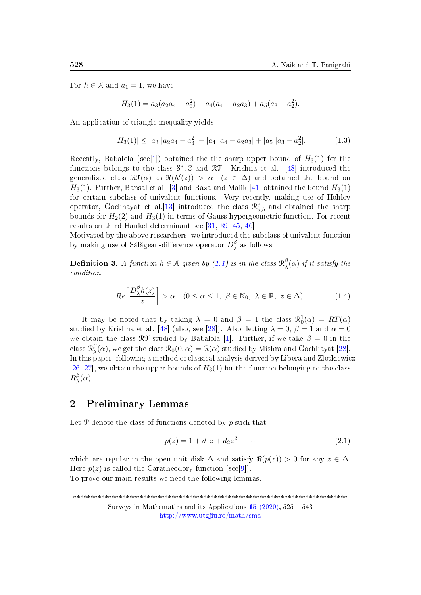For  $h \in \mathcal{A}$  and  $a_1 = 1$ , we have

$$
H_3(1) = a_3(a_2a_4 - a_3^2) - a_4(a_4 - a_2a_3) + a_5(a_3 - a_2^2).
$$

An application of triangle inequality yields

<span id="page-3-1"></span>
$$
|H_3(1)| \le |a_3||a_2a_4 - a_3^2| - |a_4||a_4 - a_2a_3| + |a_5||a_3 - a_2^2|.
$$
 (1.3)

Recently, Babalola (see[\[1\]](#page-13-2)) obtained the the sharp upper bound of  $H_3(1)$  for the functions belongs to the class S<sup>\*</sup>, C and RT. Krishna et al. [\[48\]](#page-17-6) introduced the generalized class  $\mathfrak{RT}(\alpha)$  as  $\Re(h'(z)) > \alpha$   $(z \in \Delta)$  and obtained the bound on  $H_3(1)$ . Further, Bansal et al. [\[3\]](#page-13-3) and Raza and Malik [\[41\]](#page-16-9) obtained the bound  $H_3(1)$ for certain subclass of univalent functions. Very recently, making use of Hohlov operator, Gochhayat et al.<sup>[\[13\]](#page-14-11)</sup> introduced the class  $\mathcal{R}_{a,b}^c$  and obtained the sharp bounds for  $H_2(2)$  and  $H_3(1)$  in terms of Gauss hypergeometric function. For recent results on third Hankel determinant see [\[31,](#page-16-10) [39,](#page-16-11) [45,](#page-17-7) [46\]](#page-17-8).

Motivated by the above researchers, we introduced the subclass of univalent function by making use of Sălăgean-difference operator  $D_\lambda^{\beta}$  $\lambda^{\beta}$  as follows:

**Definition 3.** A function  $h \in \mathcal{A}$  given by [\(1.1\)](#page-0-0) is in the class  $\mathcal{R}_{\lambda}^{\beta}$  $\int_{\lambda}^{\beta}(\alpha)$  if it satisfy the condition

$$
Re\left[\frac{D_{\lambda}^{\beta}h(z)}{z}\right] > \alpha \quad (0 \le \alpha \le 1, \ \beta \in \mathbb{N}_0, \ \lambda \in \mathbb{R}, \ z \in \Delta). \tag{1.4}
$$

It may be noted that by taking  $\lambda = 0$  and  $\beta = 1$  the class  $\mathcal{R}_0^1(\alpha) = RT(\alpha)$ studied by Krishna et al. [\[48\]](#page-17-6) (also, see [\[28\]](#page-15-8)). Also, letting  $\lambda = 0$ ,  $\beta = 1$  and  $\alpha = 0$ we obtain the class  $\mathcal{RT}$  studied by Babalola [\[1\]](#page-13-2). Further, if we take  $\beta = 0$  in the class  $\mathcal{R}^{\beta}_{\lambda}$  $\chi^{\beta}(\alpha)$ , we get the class  $\mathcal{R}_0(0,\alpha) = \mathcal{R}(\alpha)$  studied by Mishra and Gochhayat [\[28\]](#page-15-8). In this paper, following a method of classical analysis derived by Libera and Zlotkiewicz [\[26,](#page-15-10) [27\]](#page-15-11), we obtain the upper bounds of  $H_3(1)$  for the function belonging to the class  $R_\lambda^\beta$  $\frac{\partial}{\partial \lambda}(\alpha)$ .

#### 2 Preliminary Lemmas

Let  $P$  denote the class of functions denoted by  $p$  such that

<span id="page-3-0"></span>
$$
p(z) = 1 + d_1 z + d_2 z^2 + \cdots
$$
 (2.1)

which are regular in the open unit disk  $\Delta$  and satisfy  $\Re(p(z)) > 0$  for any  $z \in \Delta$ . Here  $p(z)$  is called the Caratheodory function (see[\[9\]](#page-14-12)). To prove our main results we need the following lemmas.

\*\*\*\*\*\*\*\*\*\*\*\*\*\*\*\*\*\*\*\*\*\*\*\*\*\*\*\*\*\*\*\*\*\*\*\*\*\*\*\*\*\*\*\*\*\*\*\*\*\*\*\*\*\*\*\*\*\*\*\*\*\*\*\*\*\*\*\*\*\*\*\*\*\*\*\*\*\* Surveys in Mathematics and its Applications 15 [\(2020\),](http://www.utgjiu.ro/math/sma/v15/v15.html) 525 543 <http://www.utgjiu.ro/math/sma>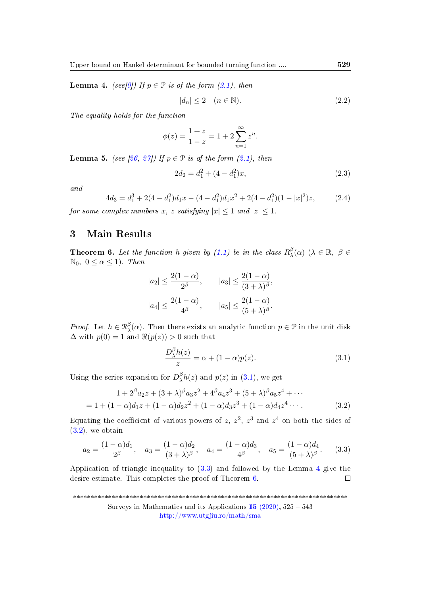<span id="page-4-3"></span>**Lemma 4.** (see[\[9\]](#page-14-12)) If  $p \in \mathcal{P}$  is of the form [\(2.1\)](#page-3-0), then

<span id="page-4-8"></span>
$$
|d_n| \le 2 \quad (n \in \mathbb{N}).\tag{2.2}
$$

The equality holds for the function

$$
\phi(z) = \frac{1+z}{1-z} = 1 + 2\sum_{n=1}^{\infty} z^n.
$$

<span id="page-4-7"></span>**Lemma 5.** (see [\[26,](#page-15-10) [27\]](#page-15-11)) If  $p \in \mathcal{P}$  is of the form [\(2.1\)](#page-3-0), then

<span id="page-4-5"></span>
$$
2d_2 = d_1^2 + (4 - d_1^2)x,\t\t(2.3)
$$

and

<span id="page-4-6"></span>
$$
4d_3 = d_1^3 + 2(4 - d_1^2)d_1x - (4 - d_1^2)d_1x^2 + 2(4 - d_1^2)(1 - |x|^2)z,
$$
\n(2.4)

for some complex numbers x, z satisfying  $|x| \leq 1$  and  $|z| \leq 1$ .

### 3 Main Results

<span id="page-4-4"></span>**Theorem 6.** Let the function h given by [\(1.1\)](#page-0-0) be in the class  $R_{\lambda}^{\beta}$  $\beta_{\lambda}^{\beta}(\alpha)$   $(\lambda \in \mathbb{R}, \beta \in$  $\mathbb{N}_0$ ,  $0 \leq \alpha \leq 1$ ). Then

$$
|a_2| \le \frac{2(1-\alpha)}{2^{\beta}},
$$
  $|a_3| \le \frac{2(1-\alpha)}{(3+\lambda)^{\beta}},$   
 $|a_4| \le \frac{2(1-\alpha)}{4^{\beta}},$   $|a_5| \le \frac{2(1-\alpha)}{(5+\lambda)^{\beta}}.$ 

*Proof.* Let  $h \in \mathcal{R}_{\lambda}^{\beta}$  $\lambda(\alpha)$ . Then there exists an analytic function  $p \in \mathcal{P}$  in the unit disk  $\Delta$  with  $p(0) = 1$  and  $\Re(p(z)) > 0$  such that

<span id="page-4-2"></span><span id="page-4-1"></span><span id="page-4-0"></span>
$$
\frac{D_{\lambda}^{\beta}h(z)}{z} = \alpha + (1 - \alpha)p(z). \tag{3.1}
$$

Using the series expansion for  $D_{\lambda}^{\beta}$  $\lambda^p h(z)$  and  $p(z)$  in  $(3.1)$ , we get

$$
1 + 2^{\beta} a_2 z + (3 + \lambda)^{\beta} a_3 z^2 + 4^{\beta} a_4 z^3 + (5 + \lambda)^{\beta} a_5 z^4 + \cdots
$$
  
= 1 + (1 - \alpha) d\_1 z + (1 - \alpha) d\_2 z^2 + (1 - \alpha) d\_3 z^3 + (1 - \alpha) d\_4 z^4 \cdots. (3.2)

Equating the coefficient of various powers of z,  $z^2$ ,  $z^3$  and  $z^4$  on both the sides of  $(3.2)$ , we obtain

$$
a_2 = \frac{(1 - \alpha)d_1}{2^{\beta}}, \quad a_3 = \frac{(1 - \alpha)d_2}{(3 + \lambda)^{\beta}}, \quad a_4 = \frac{(1 - \alpha)d_3}{4^{\beta}}, \quad a_5 = \frac{(1 - \alpha)d_4}{(5 + \lambda)^{\beta}}.
$$
 (3.3)

Application of triangle inequality to [\(3.3\)](#page-4-2) and followed by the Lemma [4](#page-4-3) give the desire estimate. This completes the proof of Theorem [6.](#page-4-4)  $\Box$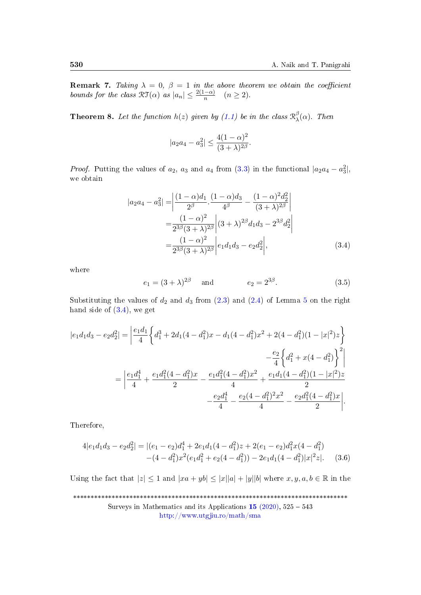**Remark 7.** Taking  $\lambda = 0$ ,  $\beta = 1$  in the above theorem we obtain the coefficient bounds for the class  $\mathfrak{RT}(\alpha)$  as  $|a_n| \leq \frac{2(1-\alpha)}{n}$   $(n \geq 2)$ .

<span id="page-5-3"></span>**Theorem 8.** Let the function  $h(z)$  given by [\(1.1\)](#page-0-0) be in the class  $\mathcal{R}_{\lambda}^{\beta}$  $\frac{\rho}{\lambda}(\alpha)$ . Then

<span id="page-5-0"></span>
$$
|a_2 a_4 - a_3^2| \le \frac{4(1 - \alpha)^2}{(3 + \lambda)^{2\beta}}.
$$

*Proof.* Putting the values of  $a_2$ ,  $a_3$  and  $a_4$  from [\(3.3\)](#page-4-2) in the functional  $|a_2a_4 - a_3^2|$ , we obtain

$$
|a_2 a_4 - a_3^2| = \left| \frac{(1 - \alpha)d_1}{2^{\beta}} \cdot \frac{(1 - \alpha)d_3}{4^{\beta}} - \frac{(1 - \alpha)^2 d_2^2}{(3 + \lambda)^{2\beta}} \right|
$$
  
= 
$$
\frac{(1 - \alpha)^2}{2^{3\beta}(3 + \lambda)^{2\beta}} \left| (3 + \lambda)^{2\beta} d_1 d_3 - 2^{3\beta} d_2^2 \right|
$$
  
= 
$$
\frac{(1 - \alpha)^2}{2^{3\beta}(3 + \lambda)^{2\beta}} \left| e_1 d_1 d_3 - e_2 d_2^2 \right|,
$$
(3.4)

where

<span id="page-5-2"></span>
$$
e_1 = (3 + \lambda)^{2\beta}
$$
 and  $e_2 = 2^{3\beta}$ . (3.5)

Substituting the values of  $d_2$  and  $d_3$  from  $(2.3)$  and  $(2.4)$  of Lemma [5](#page-4-7) on the right hand side of  $(3.4)$ , we get

$$
|e_1d_1d_3 - e_2d_2^2| = \left| \frac{e_1d_1}{4} \left\{ d_1^3 + 2d_1(4 - d_1^2)x - d_1(4 - d_1^2)x^2 + 2(4 - d_1^2)(1 - |x|^2)z \right\} - \frac{e_2}{4} \left\{ d_1^2 + x(4 - d_1^2) \right\}^2 \right|
$$
  

$$
= \left| \frac{e_1d_1^4}{4} + \frac{e_1d_1^2(4 - d_1^2)x}{2} - \frac{e_1d_1^2(4 - d_1^2)x^2}{4} + \frac{e_1d_1(4 - d_1^2)(1 - |x|^2)z}{2} - \frac{e_2d_1^4}{4} - \frac{e_2(4 - d_1^2)^2x^2}{4} - \frac{e_2d_1^2(4 - d_1^2)x}{2} \right|.
$$

Therefore,

<span id="page-5-1"></span>
$$
4|e_1d_1d_3 - e_2d_2^2| = |(e_1 - e_2)d_1^4 + 2e_1d_1(4 - d_1^2)z + 2(e_1 - e_2)d_1^2x(4 - d_1^2)
$$
  
-(4 - d<sub>1</sub><sup>2</sup>) $x^2$ (e<sub>1</sub>d<sub>1</sub><sup>2</sup> + e<sub>2</sub>(4 - d<sub>1</sub><sup>2</sup>)) - 2e<sub>1</sub>d<sub>1</sub>(4 - d<sub>1</sub><sup>2</sup>) $|x|^2z|$ . (3.6)

Using the fact that  $|z| \leq 1$  and  $|xa + yb| \leq |x||a| + |y||b|$  where  $x, y, a, b \in \mathbb{R}$  in the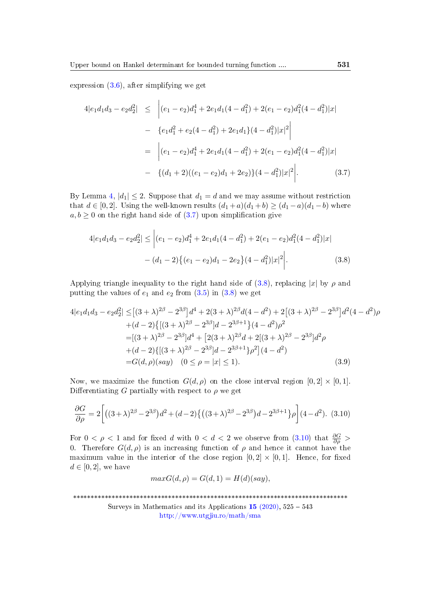expression [\(3.6\)](#page-5-1), after simplifying we get

<span id="page-6-0"></span>
$$
4|e_1d_1d_3 - e_2d_2^2| \le |(e_1 - e_2)d_1^4 + 2e_1d_1(4 - d_1^2) + 2(e_1 - e_2)d_1^2(4 - d_1^2)|x|
$$
  
\n
$$
- \{e_1d_1^2 + e_2(4 - d_1^2) + 2e_1d_1\}(4 - d_1^2)|x|^2|
$$
  
\n
$$
= |(e_1 - e_2)d_1^4 + 2e_1d_1(4 - d_1^2) + 2(e_1 - e_2)d_1^2(4 - d_1^2)|x|
$$
  
\n
$$
- \{(d_1 + 2)((e_1 - e_2)d_1 + 2e_2)\}(4 - d_1^2)|x|^2|.
$$
 (3.7)

By Lemma [4,](#page-4-3)  $|d_1| \leq 2$ . Suppose that  $d_1 = d$  and we may assume without restriction that  $d \in [0,2]$ . Using the well-known results  $(d_1 + a)(d_1 + b) \ge (d_1 - a)(d_1 - b)$  where  $a, b \geq 0$  on the right hand side of  $(3.7)$  upon simplification give

<span id="page-6-1"></span>
$$
4|e_1d_1d_3 - e_2d_2^2| \le |(e_1 - e_2)d_1^4 + 2e_1d_1(4 - d_1^2) + 2(e_1 - e_2)d_1^2(4 - d_1^2)|x|
$$

$$
- (d_1 - 2)\{(e_1 - e_2)d_1 - 2e_2\}(4 - d_1^2)|x|^2\Big|.
$$
(3.8)

Applying triangle inequality to the right hand side of  $(3.8)$ , replacing |x| by  $\rho$  and putting the values of  $e_1$  and  $e_2$  from  $(3.5)$  in  $(3.8)$  we get

$$
4|e_1d_1d_3 - e_2d_2^2| \le [(3+\lambda)^{2\beta} - 2^{3\beta}]d^4 + 2(3+\lambda)^{2\beta}d(4-d^2) + 2[(3+\lambda)^{2\beta} - 2^{3\beta}]d^2(4-d^2)\rho
$$
  
+
$$
(d-2)\{[(3+\lambda)^{2\beta} - 2^{3\beta}]d - 2^{3\beta+1}\}(4-d^2)\rho^2
$$
  
=
$$
[(3+\lambda)^{2\beta} - 2^{3\beta}]d^4 + [2(3+\lambda)^{2\beta}d + 2[(3+\lambda)^{2\beta} - 2^{3\beta}]d^2\rho
$$
  
+
$$
(d-2)\{[(3+\lambda)^{2\beta} - 2^{3\beta}]d - 2^{3\beta+1}\}\rho^2](4-d^2)
$$
  
=
$$
G(d,\rho)(say) \quad (0 \le \rho = |x| \le 1).
$$
 (3.9)

Now, we maximize the function  $G(d, \rho)$  on the close interval region  $[0, 2] \times [0, 1]$ . Differentiating G partially with respect to  $\rho$  we get

<span id="page-6-2"></span>
$$
\frac{\partial G}{\partial \rho} = 2 \left[ \left( (3+\lambda)^{2\beta} - 2^{3\beta} \right) d^2 + (d-2) \left\{ \left( (3+\lambda)^{2\beta} - 2^{3\beta} \right) d - 2^{3\beta+1} \right\} \rho \right] (4-d^2). \tag{3.10}
$$

For  $0 < \rho < 1$  and for fixed d with  $0 < d < 2$  we observe from  $(3.10)$  that  $\frac{\partial G}{\partial \rho} >$ 0. Therefore  $G(d, \rho)$  is an increasing function of  $\rho$  and hence it cannot have the maximum value in the interior of the close region  $[0, 2] \times [0, 1]$ . Hence, for fixed  $d \in [0,2]$ , we have

<span id="page-6-3"></span>
$$
maxG(d, \rho) = G(d, 1) = H(d)(say),
$$

\*\*\*\*\*\*\*\*\*\*\*\*\*\*\*\*\*\*\*\*\*\*\*\*\*\*\*\*\*\*\*\*\*\*\*\*\*\*\*\*\*\*\*\*\*\*\*\*\*\*\*\*\*\*\*\*\*\*\*\*\*\*\*\*\*\*\*\*\*\*\*\*\*\*\*\*\*\*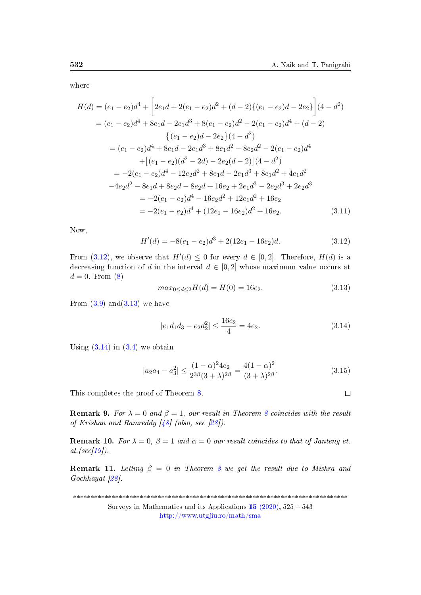where

$$
H(d) = (e_1 - e_2)d^4 + \left[2e_1d + 2(e_1 - e_2)d^2 + (d - 2)\{(e_1 - e_2)d - 2e_2\}\right](4 - d^2)
$$
  
\n
$$
= (e_1 - e_2)d^4 + 8e_1d - 2e_1d^3 + 8(e_1 - e_2)d^2 - 2(e_1 - e_2)d^4 + (d - 2)
$$
  
\n
$$
\{(e_1 - e_2)d - 2e_2\}(4 - d^2)
$$
  
\n
$$
= (e_1 - e_2)d^4 + 8e_1d - 2e_1d^3 + 8e_1d^2 - 8e_2d^2 - 2(e_1 - e_2)d^4
$$
  
\n
$$
+ [(e_1 - e_2)(d^2 - 2d) - 2e_2(d - 2)](4 - d^2)
$$
  
\n
$$
= -2(e_1 - e_2)d^4 - 12e_2d^2 + 8e_1d - 2e_1d^3 + 8e_1d^2 + 4e_1d^2
$$
  
\n
$$
-4e_2d^2 - 8e_1d + 8e_2d - 8e_2d + 16e_2 + 2e_1d^3 - 2e_2d^3 + 2e_2d^3
$$
  
\n
$$
= -2(e_1 - e_2)d^4 - 16e_2d^2 + 12e_1d^2 + 16e_2
$$
  
\n
$$
= -2(e_1 - e_2)d^4 + (12e_1 - 16e_2)d^2 + 16e_2.
$$
 (3.11)

Now,

<span id="page-7-0"></span> $H'(d) = -8(e_1 - e_2)d^3 + 2(12e_1 - 16e_2)d.$  (3.12)

From [\(3.12\)](#page-7-0), we observe that  $H'(d) \leq 0$  for every  $d \in [0,2]$ . Therefore,  $H(d)$  is a decreasing function of d in the interval  $d \in [0, 2]$  whose maximum value occurs at  $d = 0$ . From  $(8)$ 

<span id="page-7-2"></span>
$$
max_{0 \le d \le 2} H(d) = H(0) = 16e_2. \tag{3.13}
$$

From  $(3.9)$  and  $(3.13)$  we have

<span id="page-7-3"></span>
$$
|e_1d_1d_3 - e_2d_2^2| \le \frac{16e_2}{4} = 4e_2.
$$
 (3.14)

Using  $(3.14)$  in  $(3.4)$  we obtain

$$
|a_2 a_4 - a_3^2| \le \frac{(1 - \alpha)^2 4e_2}{2^{3\beta} (3 + \lambda)^{2\beta}} = \frac{4(1 - \alpha)^2}{(3 + \lambda)^{2\beta}}.
$$
\n(3.15)

This completes the proof of Theorem [8.](#page-5-3)

**Remark 9.** For  $\lambda = 0$  and  $\beta = 1$ , our result in Theorem [8](#page-5-3) coincides with the result of Krishan and Ramreddy  $\left[48\right]$  (also, see  $\left[28\right]$ ).

**Remark 10.** For  $\lambda = 0$ ,  $\beta = 1$  and  $\alpha = 0$  our result coincides to that of Janteng et. al. (see[ $19$ ]).

**Remark 11.** Letting  $\beta = 0$  in Theorem [8](#page-5-3) we get the result due to Mishra and Gochhayat [\[28\]](#page-15-8).

\*\*\*\*\*\*\*\*\*\*\*\*\*\*\*\*\*\*\*\*\*\*\*\*\*\*\*\*\*\*\*\*\*\*\*\*\*\*\*\*\*\*\*\*\*\*\*\*\*\*\*\*\*\*\*\*\*\*\*\*\*\*\*\*\*\*\*\*\*\*\*\*\*\*\*\*\*\* Surveys in Mathematics and its Applications  $15$  [\(2020\),](http://www.utgjiu.ro/math/sma/v15/v15.html)  $525 - 543$ <http://www.utgjiu.ro/math/sma>

<span id="page-7-1"></span> $\Box$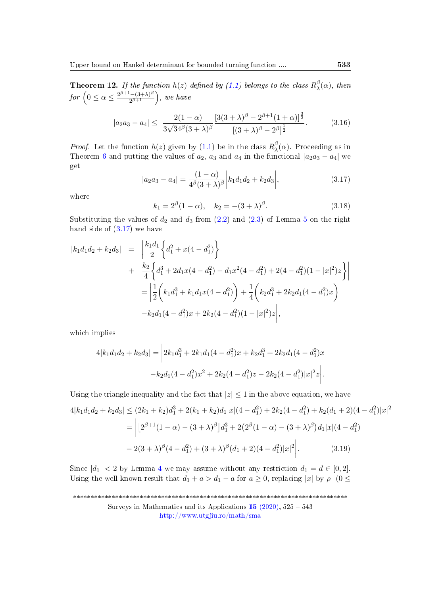<span id="page-8-2"></span>**Theorem 12.** If the function  $h(z)$  defined by [\(1.1\)](#page-0-0) belongs to the class  $R_{\lambda}^{\beta}$  $\alpha_{\lambda}^{\rho}(\alpha)$ , then for  $\left(0 \leq \alpha \leq \frac{2^{\beta+1}-(3+\lambda)^{\beta}}{2^{\beta+1}}\right)$  $\frac{(- (3 + \lambda)^{\beta}}{2^{\beta + 1}}$ ), we have

$$
|a_2 a_3 - a_4| \le \frac{2(1-\alpha)}{3\sqrt{3}4^{\beta}(3+\lambda)^{\beta}} \frac{[3(3+\lambda)^{\beta} - 2^{\beta+1}(1+\alpha)]^{\frac{3}{2}}}{[(3+\lambda)^{\beta} - 2^{\beta}]^{\frac{1}{2}}}.
$$
 (3.16)

*Proof.* Let the function  $h(z)$  given by [\(1.1\)](#page-0-0) be in the class  $R_{\lambda}^{\beta}$  $\frac{P}{\lambda}$ (α). Proceeding as in Theorem [6](#page-4-4) and putting the values of  $a_2$ ,  $a_3$  and  $a_4$  in the functional  $|a_2a_3 - a_4|$  we get

<span id="page-8-0"></span>
$$
|a_2 a_3 - a_4| = \frac{(1 - \alpha)}{4^{\beta}(3 + \lambda)^{\beta}} \left| k_1 d_1 d_2 + k_2 d_3 \right|,
$$
\n(3.17)

where

$$
k_1 = 2^{\beta}(1 - \alpha), \quad k_2 = -(3 + \lambda)^{\beta}.
$$
 (3.18)

Substituting the values of  $d_2$  and  $d_3$  from  $(2.2)$  and  $(2.3)$  of Lemma [5](#page-4-7) on the right hand side of  $(3.17)$  we have

$$
|k_1 d_1 d_2 + k_2 d_3| = \left| \frac{k_1 d_1}{2} \left\{ d_1^2 + x(4 - d_1^2) \right\} + \frac{k_2}{4} \left\{ d_1^3 + 2d_1 x(4 - d_1^2) - d_1 x^2 (4 - d_1^2) + 2(4 - d_1^2)(1 - |x|^2) z \right\} \right|
$$
  
= 
$$
\left| \frac{1}{2} \left( k_1 d_1^3 + k_1 d_1 x(4 - d_1^2) \right) + \frac{1}{4} \left( k_2 d_1^3 + 2k_2 d_1 (4 - d_1^2) x \right)
$$

$$
-k_2 d_1 (4 - d_1^2) x + 2k_2 (4 - d_1^2)(1 - |x|^2) z \right|,
$$

which implies

<span id="page-8-1"></span>
$$
4|k_1d_1d_2 + k_2d_3| = \left| 2k_1d_1^3 + 2k_1d_1(4 - d_1^2)x + k_2d_1^3 + 2k_2d_1(4 - d_1^2)x - k_2d_1(4 - d_1^2)x^2 + 2k_2(4 - d_1^2)z - 2k_2(4 - d_1^2)|x|^2 z \right|.
$$

Using the triangle inequality and the fact that  $|z| \leq 1$  in the above equation, we have

$$
4|k_1d_1d_2 + k_2d_3| \le (2k_1 + k_2)d_1^3 + 2(k_1 + k_2)d_1|x|(4 - d_1^2) + 2k_2(4 - d_1^2) + k_2(d_1 + 2)(4 - d_1^2)|x|^2
$$
  
= 
$$
\left[2^{\beta+1}(1-\alpha) - (3+\lambda)^{\beta}\right]d_1^3 + 2(2^{\beta}(1-\alpha) - (3+\lambda)^{\beta})d_1|x|(4 - d_1^2)
$$

$$
-2(3+\lambda)^{\beta}(4 - d_1^2) + (3+\lambda)^{\beta}(d_1 + 2)(4 - d_1^2)|x|^2\right].
$$
(3.19)

Since  $|d_1| < 2$  by Lemma [4](#page-4-3) we may assume without any restriction  $d_1 = d \in [0, 2]$ . Using the well-known result that  $d_1 + a > d_1 - a$  for  $a \ge 0$ , replacing |x| by  $\rho$  (0  $\le$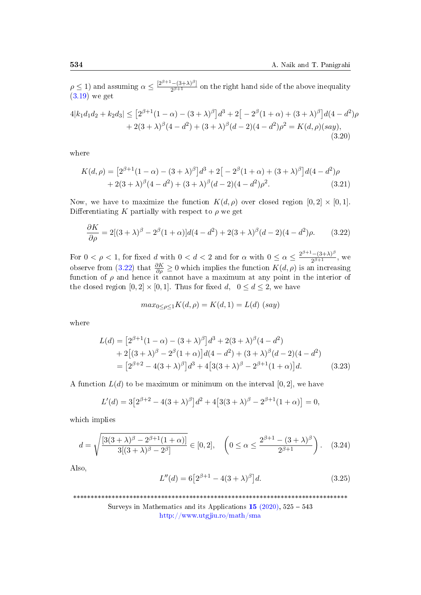$\rho \leq 1$ ) and assuming  $\alpha \leq \frac{[2^{\beta+1}-(3+\lambda)^{\beta}]}{2^{\beta+1}}$  $\frac{(-3+\lambda)^r}{2^{\beta+1}}$  on the right hand side of the above inequality [\(3.19\)](#page-8-1) we get

$$
4|k_1d_1d_2 + k_2d_3| \le [2^{\beta+1}(1-\alpha) - (3+\lambda)^{\beta}]d^3 + 2[-2^{\beta}(1+\alpha) + (3+\lambda)^{\beta}]d(4-d^2)\rho
$$
  
+ 2(3+\lambda)^{\beta}(4-d^2) + (3+\lambda)^{\beta}(d-2)(4-d^2)\rho^2 = K(d,\rho)(say),  
(3.20)

where

<span id="page-9-4"></span>
$$
K(d,\rho) = [2^{\beta+1}(1-\alpha) - (3+\lambda)^{\beta}]d^{3} + 2[-2^{\beta}(1+\alpha) + (3+\lambda)^{\beta}]d(4-d^{2})\rho
$$
  
+ 2(3+\lambda)^{\beta}(4-d^{2}) + (3+\lambda)^{\beta}(d-2)(4-d^{2})\rho^{2}. (3.21)

Now, we have to maximize the function  $K(d, \rho)$  over closed region  $[0, 2] \times [0, 1]$ . Differentiating K partially with respect to  $\rho$  we get

<span id="page-9-0"></span>
$$
\frac{\partial K}{\partial \rho} = 2[(3+\lambda)^{\beta} - 2^{\beta}(1+\alpha)]d(4-d^2) + 2(3+\lambda)^{\beta}(d-2)(4-d^2)\rho.
$$
 (3.22)

For  $0 < \rho < 1$ , for fixed d with  $0 < d < 2$  and for  $\alpha$  with  $0 \leq \alpha \leq \frac{2^{\beta+1}-(3+\lambda)^{\beta}}{2^{\beta+1}}$  $\frac{(-1)^{-1}}{2^{\beta+1}}$ , we observe from [\(3.22\)](#page-9-0) that  $\frac{\partial K}{\partial \rho} \geq 0$  which implies the function  $K(d, \rho)$  is an increasing function of  $\rho$  and hence it cannot have a maximum at any point in the interior of the closed region  $[0, 2] \times [0, 1]$ . Thus for fixed d,  $0 \le d \le 2$ , we have

<span id="page-9-3"></span>
$$
max_{0 \le \rho \le 1} K(d, \rho) = K(d, 1) = L(d) (say)
$$

where

$$
L(d) = [2^{\beta+1}(1-\alpha) - (3+\lambda)^{\beta}]d^{3} + 2(3+\lambda)^{\beta}(4-d^{2})
$$
  
+2[(3+\lambda)^{\beta} - 2^{\beta}(1+\alpha)]d(4-d^{2}) + (3+\lambda)^{\beta}(d-2)(4-d^{2})  
= [2^{\beta+2} - 4(3+\lambda)^{\beta}]d^{3} + 4[3(3+\lambda)^{\beta} - 2^{\beta+1}(1+\alpha)]d. (3.23)

A function  $L(d)$  to be maximum or minimum on the interval  $[0, 2]$ , we have

$$
L'(d) = 3[2^{\beta+2} - 4(3+\lambda)^{\beta}]d^{2} + 4[3(3+\lambda)^{\beta} - 2^{\beta+1}(1+\alpha)] = 0,
$$

which implies

<span id="page-9-1"></span>
$$
d = \sqrt{\frac{[3(3+\lambda)^{\beta} - 2^{\beta+1}(1+\alpha)]}{3[(3+\lambda)^{\beta} - 2^{\beta}]} } \in [0,2], \quad \left(0 \le \alpha \le \frac{2^{\beta+1} - (3+\lambda)^{\beta}}{2^{\beta+1}}\right). \quad (3.24)
$$

Also,

<span id="page-9-2"></span>
$$
L''(d) = 6[2^{\beta+1} - 4(3+\lambda)^{\beta}]d.
$$
 (3.25)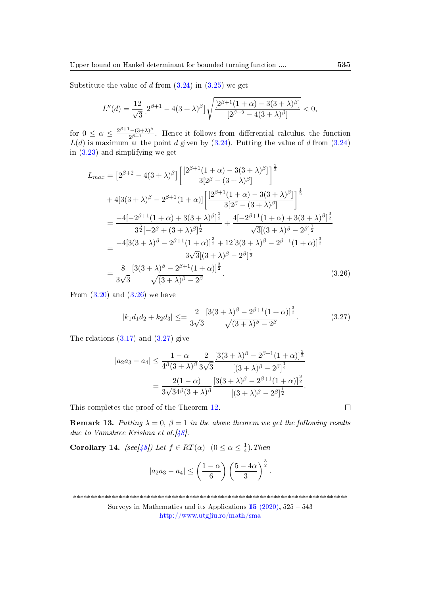Substitute the value of d from  $(3.24)$  in  $(3.25)$  we get

$$
L''(d) = \frac{12}{\sqrt{3}} \left[ 2^{\beta+1} - 4(3+\lambda)^{\beta} \right] \sqrt{\frac{\left[ 2^{\beta+1}(1+\alpha) - 3(3+\lambda)^{\beta} \right]}{\left[ 2^{\beta+2} - 4(3+\lambda)^{\beta} \right]}} < 0,
$$

for  $0 \leq \alpha \leq \frac{2^{\beta+1}-(3+\lambda)^{\beta}}{2^{\beta+1}}$  $\frac{-(3+\lambda)^r}{2^{\beta+1}}$ . Hence it follows from differential calculus, the function  $L(d)$  is maximum at the point d given by  $(3.24)$ . Putting the value of d from  $(3.24)$ in [\(3.23\)](#page-9-3) and simplifying we get

$$
L_{max} = \left[2^{\beta+2} - 4(3+\lambda)^{\beta}\right] \left[\frac{\left[2^{\beta+1}(1+\alpha) - 3(3+\lambda)^{\beta}\right]}{3[2^{\beta} - (3+\lambda)^{\beta}]}\right]^{\frac{3}{2}}
$$
  
+ 
$$
4[3(3+\lambda)^{\beta} - 2^{\beta+1}(1+\alpha)] \left[\frac{\left[2^{\beta+1}(1+\alpha) - 3(3+\lambda)^{\beta}\right]}{3[2^{\beta} - (3+\lambda)^{\beta}]}\right]^{\frac{1}{2}}
$$
  
= 
$$
\frac{-4[-2^{\beta+1}(1+\alpha) + 3(3+\lambda)^{\beta}]^{\frac{3}{2}}}{3^{\frac{3}{2}}[-2^{\beta} + (3+\lambda)^{\beta}]^{\frac{1}{2}}} + \frac{4[-2^{\beta+1}(1+\alpha) + 3(3+\lambda)^{\beta}]^{\frac{3}{2}}}{\sqrt{3}[(3+\lambda)^{\beta} - 2^{\beta}]^{\frac{1}{2}}}
$$
  
= 
$$
\frac{-4[3(3+\lambda)^{\beta} - 2^{\beta+1}(1+\alpha)]^{\frac{3}{2}} + 12[3(3+\lambda)^{\beta} - 2^{\beta+1}(1+\alpha)]^{\frac{3}{2}}}{3\sqrt{3}[(3+\lambda)^{\beta} - 2^{\beta}]^{\frac{1}{2}}}
$$
  
= 
$$
\frac{8}{3\sqrt{3}} \frac{[3(3+\lambda)^{\beta} - 2^{\beta+1}(1+\alpha)]^{\frac{3}{2}}}{\sqrt{(3+\lambda)^{\beta} - 2^{\beta}}}. \tag{3.26}
$$

From  $(3.20)$  and  $(3.26)$  we have

$$
|k_1 d_1 d_2 + k_2 d_3| \leq = \frac{2}{3\sqrt{3}} \frac{[3(3+\lambda)^{\beta} - 2^{\beta+1}(1+\alpha)]^{\frac{3}{2}}}{\sqrt{(3+\lambda)^{\beta} - 2^{\beta}}}.
$$
 (3.27)

The relations  $(3.17)$  and  $(3.27)$  give

$$
|a_2 a_3 - a_4| \le \frac{1 - \alpha}{4^{\beta}(3 + \lambda)^{\beta}} \frac{2}{3\sqrt{3}} \frac{[3(3 + \lambda)^{\beta} - 2^{\beta + 1}(1 + \alpha)]^{\frac{3}{2}}}{[(3 + \lambda)^{\beta} - 2^{\beta}]^{\frac{1}{2}}} = \frac{2(1 - \alpha)}{3\sqrt{3}4^{\beta}(3 + \lambda)^{\beta}} \frac{[3(3 + \lambda)^{\beta} - 2^{\beta + 1}(1 + \alpha)]^{\frac{3}{2}}}{[(3 + \lambda)^{\beta} - 2^{\beta}]^{\frac{1}{2}}}.
$$

This completes the proof of the Theorem [12.](#page-8-2)

**Remark 13.** Putting  $\lambda = 0$ ,  $\beta = 1$  in the above theorem we get the following results due to Vamshree Krishna et al. [\[48\]](#page-17-6).

<span id="page-10-2"></span>Corollary 14. (see[ $\frac{1}{8}$ ]) Let  $f \in RT(\alpha)$  ( $0 \leq \alpha \leq \frac{1}{4}$  $\frac{1}{4}$ ). Then

$$
|a_2a_3-a_4|\leq \left(\frac{1-\alpha}{6}\right)\left(\frac{5-4\alpha}{3}\right)^{\frac{3}{2}}.
$$

\*\*\*\*\*\*\*\*\*\*\*\*\*\*\*\*\*\*\*\*\*\*\*\*\*\*\*\*\*\*\*\*\*\*\*\*\*\*\*\*\*\*\*\*\*\*\*\*\*\*\*\*\*\*\*\*\*\*\*\*\*\*\*\*\*\*\*\*\*\*\*\*\*\*\*\*\*\*

<span id="page-10-1"></span><span id="page-10-0"></span>
$$
\qquad \qquad \Box
$$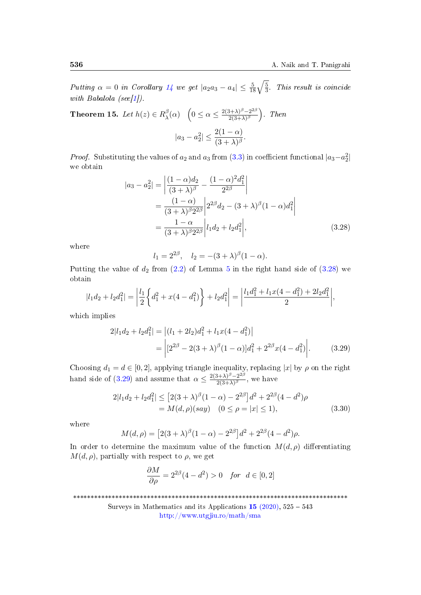Putting  $\alpha = 0$  in Corollary [14](#page-10-2) we get  $|a_2 a_3 - a_4| \leq \frac{5}{18} \sqrt{\frac{5}{3}}$  $\frac{5}{3}$ . This result is coincide with Babalola (see[\[1\]](#page-13-2)).

<span id="page-11-3"></span>Theorem 15. Let  $h(z) \in R_\lambda^\beta$  $\beta_{\lambda}(\alpha) \quad \left(0 \leq \alpha \leq \frac{2(3+\lambda)^{\beta}-2^{2\beta}}{2(3+\lambda)^{\beta}}\right)$  $\frac{(3+\lambda)^{\beta}-2^{2\beta}}{2(3+\lambda)^{\beta}}$ ). Then  $|a_3 - a_2^2| \leq \frac{2(1 - \alpha)}{(3 + \lambda)^{\beta}}.$ 

*Proof.* Substituting the values of  $a_2$  and  $a_3$  from [\(3.3\)](#page-4-2) in coefficient functional  $|a_3-a_2^2|$ we obtain

$$
|a_3 - a_2^2| = \left| \frac{(1 - \alpha)d_2}{(3 + \lambda)^{\beta}} - \frac{(1 - \alpha)^2 d_1^2}{2^{2\beta}} \right|
$$
  
= 
$$
\frac{(1 - \alpha)}{(3 + \lambda)^{\beta} 2^{2\beta}} \left| 2^{2\beta} d_2 - (3 + \lambda)^{\beta} (1 - \alpha) d_1^2 \right|
$$
  
= 
$$
\frac{1 - \alpha}{(3 + \lambda)^{\beta} 2^{2\beta}} \left| l_1 d_2 + l_2 d_1^2 \right|,
$$
(3.28)

where

<span id="page-11-1"></span><span id="page-11-0"></span>
$$
l_1 = 2^{2\beta}, \quad l_2 = -(3+\lambda)^{\beta}(1-\alpha).
$$

Putting the value of  $d_2$  from  $(2.2)$  of Lemma [5](#page-4-7) in the right hand side of  $(3.28)$  we obtain

$$
|l_1d_2 + l_2d_1^2| = \left| \frac{l_1}{2} \left\{ d_1^2 + x(4 - d_1^2) \right\} + l_2d_1^2 \right| = \left| \frac{l_1d_1^2 + l_1x(4 - d_1^2) + 2l_2d_1^2}{2} \right|,
$$

which implies

$$
2|l_1d_2 + l_2d_1^2| = |(l_1 + 2l_2)d_1^2 + l_1x(4 - d_1^2)|
$$
  
= 
$$
|2^{2\beta} - 2(3 + \lambda)^{\beta}(1 - \alpha)|d_1^2 + 2^{2\beta}x(4 - d_1^2)|.
$$
 (3.29)

Choosing  $d_1 = d \in [0, 2]$ , applying triangle inequality, replacing |x| by  $\rho$  on the right hand side of  $(3.29)$  and assume that  $\alpha \leq \frac{2(3+\lambda)^{\beta}-2^{2\beta}}{2(3+\lambda)^{\beta}}$  $\frac{2(3+\lambda)^{\beta}}{2(3+\lambda)^{\beta}}$ , we have

$$
2|l_1d_2 + l_2d_1^2| \le [2(3+\lambda)^{\beta}(1-\alpha) - 2^{2\beta}]d^2 + 2^{2\beta}(4-d^2)\rho
$$
  
=  $M(d,\rho)(say)$   $(0 \le \rho = |x| \le 1),$  (3.30)

where

$$
M(d,\rho) = [2(3+\lambda)^{\beta}(1-\alpha) - 2^{2\beta}]d^{2} + 2^{2\beta}(4-d^{2})\rho.
$$

In order to determine the maximum value of the function  $M(d, \rho)$  differentiating  $M(d, \rho)$ , partially with respect to  $\rho$ , we get

<span id="page-11-2"></span>
$$
\frac{\partial M}{\partial \rho} = 2^{2\beta} (4 - d^2) > 0 \quad \text{for} \ \ d \in [0, 2]
$$

\*\*\*\*\*\*\*\*\*\*\*\*\*\*\*\*\*\*\*\*\*\*\*\*\*\*\*\*\*\*\*\*\*\*\*\*\*\*\*\*\*\*\*\*\*\*\*\*\*\*\*\*\*\*\*\*\*\*\*\*\*\*\*\*\*\*\*\*\*\*\*\*\*\*\*\*\*\*

Surveys in Mathematics and its Applications  $15$  [\(2020\),](http://www.utgjiu.ro/math/sma/v15/v15.html)  $525 - 543$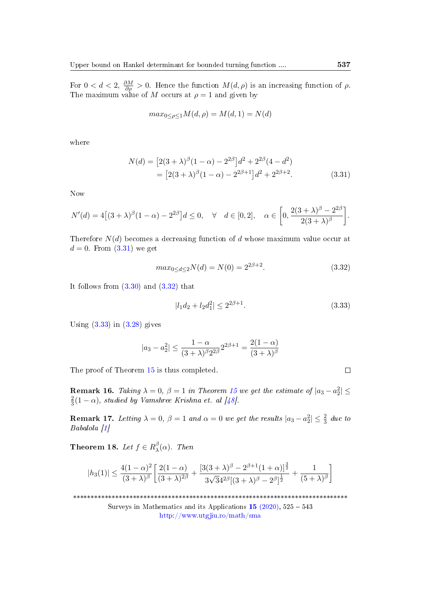For  $0 < d < 2$ ,  $\frac{\partial M}{\partial \rho} > 0$ . Hence the function  $M(d, \rho)$  is an increasing function of  $\rho$ . The maximum value of M occurs at  $\rho = 1$  and given by

<span id="page-12-0"></span>
$$
max_{0 \le \rho \le 1} M(d, \rho) = M(d, 1) = N(d)
$$

where

$$
N(d) = [2(3+\lambda)^{\beta}(1-\alpha) - 2^{2\beta}]d^2 + 2^{2\beta}(4-d^2)
$$
  
= 
$$
[2(3+\lambda)^{\beta}(1-\alpha) - 2^{2\beta+1}]d^2 + 2^{2\beta+2}.
$$
 (3.31)

Now

$$
N'(d) = 4[(3+\lambda)^{\beta}(1-\alpha) - 2^{2\beta}]d \le 0, \quad \forall \quad d \in [0,2], \quad \alpha \in \left[0, \frac{2(3+\lambda)^{\beta} - 2^{2\beta}}{2(3+\lambda)^{\beta}}\right].
$$

Therefore  $N(d)$  becomes a decreasing function of d whose maximum value occur at  $d = 0$ . From  $(3.31)$  we get

<span id="page-12-1"></span>
$$
max_{0 \le d \le 2} N(d) = N(0) = 2^{2\beta + 2}.
$$
\n(3.32)

It follows from  $(3.30)$  and  $(3.32)$  that

<span id="page-12-2"></span>
$$
|l_1d_2 + l_2d_1^2| \le 2^{2\beta + 1}.\tag{3.33}
$$

Using  $(3.33)$  in  $(3.28)$  gives

$$
|a_3 - a_2^2| \le \frac{1 - \alpha}{(3 + \lambda)^{\beta} 2^{2\beta}} 2^{2\beta + 1} = \frac{2(1 - \alpha)}{(3 + \lambda)^{\beta}}
$$

The proof of Theorem [15](#page-11-3) is thus completed.

**Remark 16.** Taking  $\lambda = 0$ ,  $\beta = 1$  in Theorem [15](#page-11-3) we get the estimate of  $|a_3 - a_2^2| \leq$ 2  $\frac{2}{3}(1-\alpha)$ , studied by Vamshree Krishna et. al [\[48\]](#page-17-6).

**Remark 17.** Letting  $\lambda = 0$ ,  $\beta = 1$  and  $\alpha = 0$  we get the results  $|a_3 - a_2^2| \leq \frac{2}{3}$  due to Babalola [\[1\]](#page-13-2)

<span id="page-12-3"></span>Theorem 18. Let  $f \in R_{\lambda}^{\beta}$  $\frac{\beta}{\lambda}(\alpha)$ . Then

$$
|h_3(1)| \le \frac{4(1-\alpha)^2}{(3+\lambda)^{\beta}} \left[ \frac{2(1-\alpha)}{(3+\lambda)^{2\beta}} + \frac{[3(3+\lambda)^{\beta} - 2^{\beta+1}(1+\alpha)]^{\frac{3}{2}}}{3\sqrt{3}4^{2\beta}[(3+\lambda)^{\beta} - 2^{\beta}]^{\frac{1}{2}}} + \frac{1}{(5+\lambda)^{\beta}} \right]
$$

\*\*\*\*\*\*\*\*\*\*\*\*\*\*\*\*\*\*\*\*\*\*\*\*\*\*\*\*\*\*\*\*\*\*\*\*\*\*\*\*\*\*\*\*\*\*\*\*\*\*\*\*\*\*\*\*\*\*\*\*\*\*\*\*\*\*\*\*\*\*\*\*\*\*\*\*\*\*

Surveys in Mathematics and its Applications  $15$  [\(2020\),](http://www.utgjiu.ro/math/sma/v15/v15.html)  $525 - 543$ <http://www.utgjiu.ro/math/sma>

 $\Box$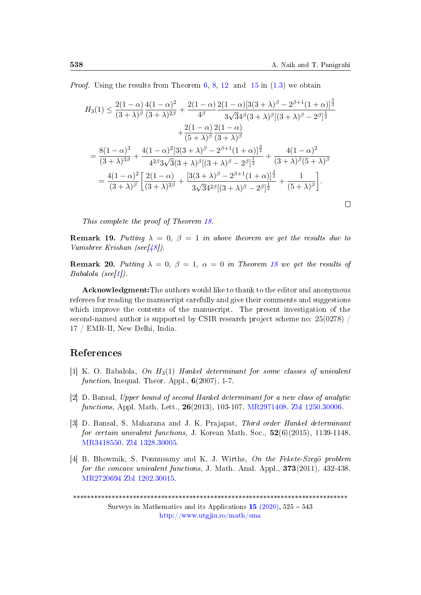$\Box$ 

*Proof.* Using the results from Theorem  $6, 8, 12$  $6, 8, 12$  $6, 8, 12$  $6, 8, 12$  $6, 8, 12$  and  $15$  in  $(1.3)$  we obtain

$$
H_{3}(1) \leq \frac{2(1-\alpha)}{(3+\lambda)^{\beta}} \frac{4(1-\alpha)^{2}}{(3+\lambda)^{2\beta}} + \frac{2(1-\alpha)}{4^{\beta}} \frac{2(1-\alpha)[3(3+\lambda)^{\beta} - 2^{\beta+1}(1+\alpha)]^{\frac{3}{2}}}{3\sqrt{3}4^{\beta}(3+\lambda)^{\beta}[(3+\lambda)^{\beta} - 2^{\beta}]^{\frac{1}{2}}} + \frac{2(1-\alpha)}{(5+\lambda)^{\beta}} \frac{2(1-\alpha)}{(3+\lambda)^{\beta}} = \frac{8(1-\alpha)^{3}}{(3+\lambda)^{3\beta}} + \frac{4(1-\alpha)^{2}[3(3+\lambda)^{\beta} - 2^{\beta+1}(1+\alpha)]^{\frac{3}{2}}}{4^{2\beta}3\sqrt{3}(3+\lambda)^{\beta}[(3+\lambda)^{\beta} - 2^{\beta}]^{\frac{1}{2}}} + \frac{4(1-\alpha)^{2}}{(3+\lambda)^{\beta}(5+\lambda)^{\beta}} = \frac{4(1-\alpha)^{2}}{(3+\lambda)^{\beta}} \left[ \frac{2(1-\alpha)}{(3+\lambda)^{2\beta}} + \frac{[3(3+\lambda)^{\beta} - 2^{\beta+1}(1+\alpha)]^{\frac{3}{2}}}{3\sqrt{3}4^{2\beta}[(3+\lambda)^{\beta} - 2^{\beta}]^{\frac{1}{2}}} + \frac{1}{(5+\lambda)^{\beta}} \right].
$$

This complete the proof of Theorem [18.](#page-12-3)

**Remark 19.** Putting  $\lambda = 0$ ,  $\beta = 1$  in above theorem we get the results due to Vamshree Krishan (see[\[48\]](#page-17-6)).

**Remark 20.** Putting  $\lambda = 0$ ,  $\beta = 1$ ,  $\alpha = 0$  in Theorem [18](#page-12-3) we get the results of  $Babalola$  (see[\[1\]](#page-13-2)).

Acknowledgment:The authors would like to thank to the editor and anonymous referees for reading the manuscript carefully and give their comments and suggestions which improve the contents of the manuscript. The present investigation of the second-named author is supported by CSIR research project scheme no:  $25(0278)$ 17 / EMR-II, New Delhi, India.

### References

- <span id="page-13-2"></span>[1] K. O. Babalola, On  $H_3(1)$  Hankel determinant for some classes of univalent function, Inequal. Theor. Appl.,  $6(2007)$ , 1-7.
- <span id="page-13-1"></span>[2] D. Bansal, Upper bound of second Hankel determinant for a new class of analytic functions, Appl. Math. Lett., 26(2013), 103-107. [MR2971408.](http://www.ams.org/mathscinet-getitem?mr=2971408) [Zbl 1250.30006.](https://zbmath.org/?q=an:1250.30006)
- <span id="page-13-3"></span>[3] D. Bansal, S. Maharana and J. K. Prajapat, Third order Hankel determinant for certain univalent functions, J. Korean Math. Soc.,  $52(6)(2015)$ , 1139-1148. [MR3418550.](http://www.ams.org/mathscinet-getitem?mr=3418550) [Zbl 1328.30005.](https://zbmath.org/?q=an:1328.30005)
- <span id="page-13-0"></span>[4] B. Bhowmik, S. Ponnusamy and K. J. Wirths, On the Fekete-Szegö problem for the concave univalent functions, J. Math. Anal. Appl.,  $373(2011)$ ,  $432-438$ . [MR2720694](http://www.ams.org/mathscinet-getitem?mr=2720694) [Zbl 1202.30015.](https://zbmath.org/?q=an:1202.30015)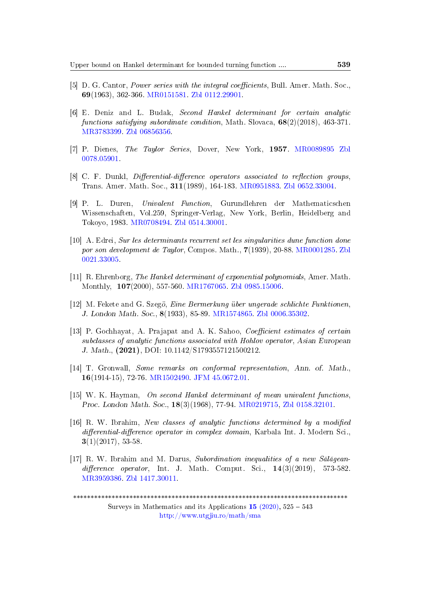- <span id="page-14-5"></span>[5] D. G. Cantor, *Power series with the integral coefficients*, Bull. Amer. Math. Soc., 69(1963), 362-366. [MR0151581.](http://www.ams.org/mathscinet-getitem?mr=0151581) [Zbl 0112.29901.](https://zbmath.org/?q=an:0112.29901)
- <span id="page-14-10"></span>[6] E. Deniz and L. Budak, Second Hankel determinant for certain analytic functions satisfying subordinate condition, Math. Slovaca,  $68(2)(2018)$ , 463-371. [MR3783399.](http://www.ams.org/mathscinet-getitem?mr=3783399) [Zbl 06856356.](https://zbmath.org/?q=an:06856356)
- <span id="page-14-3"></span>[7] P. Dienes, The Taylor Series, Dover, New York, 1957. [MR0089895](http://www.ams.org/mathscinet-getitem?mr=0089895) [Zbl](https://zbmath.org/?q=an:0078.05901) [0078.05901.](https://zbmath.org/?q=an:0078.05901)
- <span id="page-14-1"></span>[8] C. F. Dunkl, *Differential-difference operators associated to reflection groups*, Trans. Amer. Math. Soc., 311(1989), 164-183. [MR0951883.](http://www.ams.org/mathscinet-getitem?mr=0951883) [Zbl 0652.33004.](https://zbmath.org/?q=an:0652.33004)
- <span id="page-14-12"></span>[9] P. L. Duren, Univalent Function, Gurundlehren der Mathematicschen Wissenschaften, Vol.259, Springer-Verlag, New York, Berlin, Heidelberg and Tokoyo, 1983. [MR0708494.](http://www.ams.org/mathscinet-getitem?mr=0708494) [Zbl 0514.30001.](https://zbmath.org/?q=an:0514.30001)
- <span id="page-14-4"></span>[10] A. Edrei, Sur les determinants recurrent set les singularities dune function done por son development de Taylor, Compos. Math., 7(1939), 20-88. [MR0001285.](http://www.ams.org/mathscinet-getitem?mr=0001285) [Zbl](https://zbmath.org/?q=an:0021.330051) [0021.33005.](https://zbmath.org/?q=an:0021.330051)
- <span id="page-14-7"></span>[11] R. Ehrenborg, The Hankel determinant of exponential polynomials, Amer. Math. Monthly, 107(2000), 557-560. [MR1767065.](http://www.ams.org/mathscinet-getitem?mr=1767065) [Zbl 0985.15006.](https://zbmath.org/?q=an:0985.15006)
- <span id="page-14-8"></span>[12] M. Fekete and G. Szegö, Eine Bermerkung über ungerade schlichte Funktionen, J. London Math. Soc., 8(1933), 85-89. [MR1574865.](http://www.ams.org/mathscinet-getitem?mr=1574865) [Zbl 0006.35302.](https://zbmath.org/?q=an:0006.35302)
- <span id="page-14-11"></span>[13] P. Gochhayat, A. Prajapat and A. K. Sahoo, *Coefficient estimates of certain* subclasses of analytic functions associated with Hohlov operator, Asian European J. Math., (2021), DOI: 10.1142/S1793557121500212.
- <span id="page-14-9"></span>[14] T. Gronwall, Some remarks on conformal representation, Ann. of. Math., 16(1914-15), 72-76. [MR1502490.](http://www.ams.org/mathscinet-getitem?mr=1502490) [JFM 45.0672.01.](https://zbmath.org/?q=an:45.0672.01)
- <span id="page-14-6"></span>[15] W. K. Hayman, On second Hankel determinant of mean univalent functions, Proc. London Math. Soc., 18(3)(1968), 77-94. [MR0219715,](http://www.ams.org/mathscinet-getitem?mr=0219715) [Zbl 0158.32101.](https://zbmath.org/?q=an:0158.32101)
- <span id="page-14-2"></span>[16] R. W. Ibrahim, New classes of analytic functions determined by a modified  $differential-difference operator in complex domain, Karbala Int. J. Modern Sci.$  $3(1)(2017), 53-58.$
- <span id="page-14-0"></span>[17] R. W. Ibrahim and M. Darus, Subordination inequalities of a new Sălăgean $difference\ operator$ , Int. J. Math. Comput. Sci.,  $14(3)(2019)$ , 573-582. [MR3959386.](href="http://www.ams.org/mathscinet-getitem?mr=3959386) [Zbl 1417.30011.](https://zbmath.org/?q=an:1417.30011)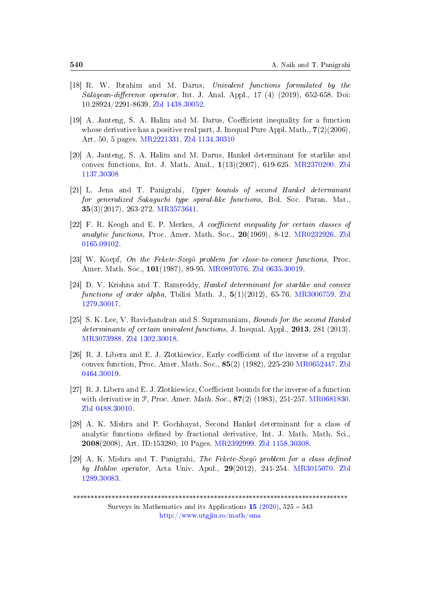- <span id="page-15-0"></span>[18] R. W. Ibrahim and M. Darus, Univalent functions formulated by the  $S\ddot{\alpha}l\ddot{\alpha}qean-difference operator$ , Int. J. Anal. Appl., 17 (4) (2019), 652-658. Doi: 10.28924/2291-8639. [Zbl 1438.30052.](https://zbmath.org/?q=an:1438.30052)
- <span id="page-15-4"></span>[19] A. Janteng, S. A. Halim and M. Darus, Coefficient inequality for a function whose derivative has a positive real part, J. Inequal Pure Appl. Math.,  $7(2)(2006)$ , Art. 50, 5 pages. [MR2221331.](http://www.ams.org/mathscinet-getitem?mr=2221331) [Zbl 1134.30310](https://zbmath.org/?q=1134.30310)
- <span id="page-15-5"></span>[20] A. Janteng, S. A. Halim and M. Darus, Hankel determinant for starlike and convex functions, Int. J. Math. Anal., 1(13)(2007), 619-625. [MR2370200.](http://www.ams.org/mathscinet-getitem?mr=2370200) [Zbl](https://zbmath.org/?q=1137.30308) [1137.30308](https://zbmath.org/?q=1137.30308)
- <span id="page-15-9"></span>[21] L. Jena and T. Panigrahi, Upper bounds of second Hankel determinant for generalized Sakaguchi type spiral-like functions, Bol. Soc. Paran. Mat., 35(3)(2017), 263-272. [MR3573641.](http://www.ams.org/mathscinet-getitem?mr=3573641)
- <span id="page-15-1"></span> $[22]$  F. R. Keogh and E. P. Merkes, A coefficient inequality for certain classes of analytic functions, Proc. Amer. Math. Soc.,  $20(1969)$ , 8-12. [MR0232926.](http://www.ams.org/mathscinet-getitem?mr=0232926) [Zbl](https://zbmath.org/?q=0165.09102) [0165.09102.](https://zbmath.org/?q=0165.09102)
- <span id="page-15-2"></span>[23] W. Koepf, On the Fekete-Szegö problem for close-to-convex functions, Proc. Amer. Math. Soc., 101(1987), 89-95. [MR0897076.](http://www.ams.org/mathscinet-getitem?mr=0897076) [Zbl 0635.30019.](https://zbmath.org/?q=0635.30019)
- <span id="page-15-7"></span>[24] D. V. Krishna and T. Ramreddy, Hankel determinant for starlike and convex functions of order alpha, Tbilisi Math. J.,  $5(1)(2012)$ , 65-76. [MR3006759.](http://www.ams.org/mathscinet-getitem?mr=3006759) [Zbl](https://zbmath.org/?q=1279.30017) [1279.30017.](https://zbmath.org/?q=1279.30017)
- <span id="page-15-6"></span>[25] S. K. Lee, V. Ravichandran and S. Supramaniam, Bounds for the second Hankel determinants of certain univalent functions, J. Inequal. Appl., 2013, 281 (2013). [MR3073988.](http://www.ams.org/mathscinet-getitem?mr=3073988) [Zbl 1302.30018.](https://zbmath.org/?q=1302.30018)
- <span id="page-15-10"></span>[26] R. J. Libera and E. J. Zlotkiewicz, Early coefficient of the inverse of a regular convex function, Proc. Amer. Math. Soc., 85(2) (1982), 225-230 [MR0652447.](http://www.ams.org/mathscinet-getitem?mr=0652447) [Zbl](https://zbmath.org/?q=0464.30019) [0464.30019.](https://zbmath.org/?q=0464.30019)
- <span id="page-15-11"></span>[27] R. J. Libera and E. J. Zlotkiewicz, Coefficient bounds for the inverse of a function with derivative in  $P$ , Proc. Amer. Math. Soc.,  $87(2)$  (1983), 251-257. [MR0681830.](http://www.ams.org/mathscinet-getitem?mr=0681830) [Zbl 0488.30010.](https://zbmath.org/?q=0488.30010)
- <span id="page-15-8"></span>[28] A. K. Mishra and P. Gochhayat, Second Hankel determinant for a class of analytic functions defined by fractional derivative, Int. J. Math. Math. Sci., 2008(2008), Art. ID:153280; 10 Pages. [MR2392999.](http://www.ams.org/mathscinet-getitem?mr=2392999) [Zbl 1158.30308.](https://zbmath.org/?q=1158.30308)
- <span id="page-15-3"></span>[29] A. K. Mishra and T. Panigrahi, The Fekete-Szegö problem for a class defined by Hohlov operator, Acta Univ. Apul., 29(2012), 241-254. [MR3015070.](http://www.ams.org/mathscinet-getitem?mr=3015070) [Zbl](https://zbmath.org/?q=1289.30083) [1289.30083.](https://zbmath.org/?q=1289.30083)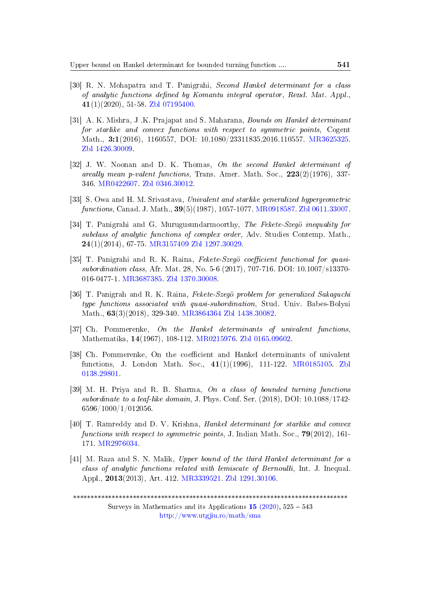- <span id="page-16-8"></span>[30] R. N. Mohapatra and T. Panigrahi, Second Hankel determinant for a class of analytic functions defined by Komantu integral operator, Rend. Mat. Appl., 41(1)(2020), 51-58. [Zbl 07195400.](https://zbmath.org/?q=07195400)
- <span id="page-16-10"></span>[31] A. K. Mishra, J. K. Prajapat and S. Maharana, *Bounds on Hankel determinant* for starlike and convex functions with respect to symmetric points, Cogent Math., 3:1(2016), 1160557, DOI: 10.1080/23311835.2016.110557. [MR3625325.](http://www.ams.org/mathscinet-getitem?mr=3625325) [Zbl 1426.30009.](https://zbmath.org/?q=1426.30009)
- <span id="page-16-0"></span>[32] J. W. Noonan and D. K. Thomas, On the second Hankel determinant of areally mean p-valent functions, Trans. Amer. Math. Soc.,  $223(2)(1976)$ , 337-346. [MR0422607.](http://www.ams.org/mathscinet-getitem?mr=0422607) [Zbl 0346.30012.](https://zbmath.org/?q=0346.30012)
- <span id="page-16-7"></span>[33] S. Owa and H. M. Srivastava, Univalent and starlike generalized hypergeometric functions, Canad. J. Math., 39(5)(1987), 1057-1077. [MR0918587.](http://www.ams.org/mathscinet-getitem?mr=0918587) [Zbl 0611.33007.](https://zbmath.org/?q=0611.33007)
- <span id="page-16-3"></span>[34] T. Panigrahi and G. Murugusundarmoorthy, The Fekete-Szegö inequality for subclass of analytic functions of complex order, Adv. Studies Contemp. Math., 24(1)(2014), 67-75. [MR3157409](http://www.ams.org/mathscinet-getitem?mr=3157409) [Zbl 1297.30029.](https://zbmath.org/?q=1297.30029)
- <span id="page-16-4"></span>[35] T. Panigrahi and R. K. Raina, Fekete-Szegö coefficient functional for quasisubordination class, Afr. Mat. 28, No. 5-6 (2017), 707-716. DOI: 10.1007/s13370- 016-0477-1. [MR3687385.]( http://www.ams.org/mathscinet-getitem?mr=3687385) [Zbl 1370.30008.](https://zbmath.org/?q=1370.30008)
- <span id="page-16-5"></span>[36] T. Panigrah and R. K. Raina, Fekete-Szegö problem for generalized Sakaguchi type functions associated with quasi-subordination, Stud. Univ. Babes-Bolyai Math., 63(3)(2018), 329-340. [MR3864364]( http://www.ams.org/mathscinet-getitem?mr=3864364) [Zbl 1438.30082.](https://zbmath.org/?q=1438.30082)
- <span id="page-16-1"></span>[37] Ch. Pommerenke, On the Hankel determinants of univalent functions, Mathematika, 14(1967), 108-112. [MR0215976.](http://www.ams.org/mathscinet-getitem?mr=0215976) [Zbl 0165.09602.](https://zbmath.org/?q=0165.09602)
- <span id="page-16-2"></span>[38] Ch. Pommerenke, On the coefficient and Hankel determinants of univalent functions, J. London Math. Soc., 41(1)(1996), 111-122. [MR0185105.](http://www.ams.org/mathscinet-getitem?mr=0185105) [Zbl](https://zbmath.org/?q=0138.29801) [0138.29801.](https://zbmath.org/?q=0138.29801)
- <span id="page-16-11"></span>[39] M. H. Priya and R. B. Sharma, On a class of bounded turning functions subordinate to a leaf-like domain, J. Phys. Conf. Ser. (2018), DOI: 10.1088/1742-6596/1000/1/012056.
- <span id="page-16-6"></span>[40] T. Ramreddy and D. V. Krishna, Hankel determinant for starlike and convex functions with respect to symmetric points, J. Indian Math. Soc.,  $79(2012)$ , 161-171. [MR2976034.](http://www.ams.org/mathscinet-getitem?mr= MR2976034)
- <span id="page-16-9"></span>[41] M. Raza and S. N. Malik, Upper bound of the third Hankel determinant for a class of analytic functions related with lemiscate of Bernoulli, Int. J. Inequal. Appl., 2013(2013), Art. 412. [MR3339521.](http://www.ams.org/mathscinet-getitem?mr=3339521) [Zbl 1291.30106.](https://zbmath.org/?q=1291.30106)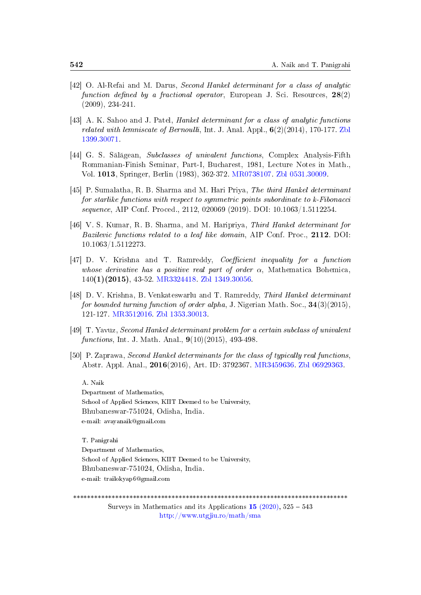- <span id="page-17-2"></span>[42] O. Al-Refai and M. Darus, Second Hankel determinant for a class of analytic function defined by a fractional operator, European J. Sci. Resources,  $28(2)$ (2009), 234-241.
- <span id="page-17-3"></span>[43] A. K. Sahoo and J. Patel, Hankel determinant for a class of analytic functions related with lemniscate of Bernoulli, Int. J. Anal. Appl.,  $6(2)(2014)$ , 170-177. [Zbl](https://zbmath.org/?q=1399.30071) [1399.30071.](https://zbmath.org/?q=1399.30071)
- <span id="page-17-0"></span>[44] G. S. Sălăgean, Subclasses of univalent functions, Complex Analysis-Fifth Rommanian-Finish Seminar, Part-I, Bucharest, 1981, Lecture Notes in Math., Vol. 1013, Springer, Berlin (1983), 362-372. [MR0738107.](http://www.ams.org/mathscinet-getitem?mr=0738107) [Zbl 0531.30009.](https://zbmath.org/?q=0531.30009)
- <span id="page-17-7"></span>[45] P. Sumalatha, R. B. Sharma and M. Hari Priya, The third Hankel determinant for starlike functions with respect to symmetric points subordinate to k-Fibonacci sequence, AIP Conf. Proced., 2112, 020069 (2019). DOI: 10.1063/1.5112254.
- <span id="page-17-8"></span>[46] V. S. Kumar, R. B. Sharma, and M. Haripriya, Third Hankel determinant for Bazilevic functions related to a leaf like domain, AIP Conf. Proc., 2112. DOI: 10.1063/1.5112273.
- <span id="page-17-4"></span>[47] D. V. Krishna and T. Ramreddy, *Coefficient inequality for a function* whose derivative has a positive real part of order  $\alpha$ , Mathematica Bohemica, 140(1)(2015), 43-52. [MR3324418.](http://www.ams.org/mathscinet-getitem?mr=3324418) [Zbl 1349.30056.](https://zbmath.org/?q=1349.30056)
- <span id="page-17-6"></span>[48] D. V. Krishna, B. Venkateswarlu and T. Ramreddy, Third Hankel determinant for bounded turning function of order alpha, J. Nigerian Math. Soc.,  $34(3)(2015)$ , 121-127. [MR3512016.](http://www.ams.org/mathscinet-getitem?mr=3512016) [Zbl 1353.30013.](https://zbmath.org/?q=1353.30013)
- <span id="page-17-5"></span>[49] T. Yavuz, Second Hankel determinant problem for a certain subclass of univalent functions, Int. J. Math. Anal.,  $9(10)(2015)$ , 493-498.
- <span id="page-17-1"></span>[50] P. Zaprawa, Second Hankel determinants for the class of typically real functions, Abstr. Appl. Anal., 2016(2016), Art. ID: 3792367. [MR3459636.](http://www.ams.org/mathscinet-getitem?mr=3459636) [Zbl 06929363.](https://zbmath.org/?q=an:06929363)

A. Naik Department of Mathematics, School of Applied Sciences, KIIT Deemed to be University, Bhubaneswar-751024, Odisha, India. e-mail: avayanaik@gmail.com

T. Panigrahi Department of Mathematics, School of Applied Sciences, KIIT Deemed to be University, Bhubaneswar-751024, Odisha, India. e-mail: trailokyap6@gmail.com

\*\*\*\*\*\*\*\*\*\*\*\*\*\*\*\*\*\*\*\*\*\*\*\*\*\*\*\*\*\*\*\*\*\*\*\*\*\*\*\*\*\*\*\*\*\*\*\*\*\*\*\*\*\*\*\*\*\*\*\*\*\*\*\*\*\*\*\*\*\*\*\*\*\*\*\*\*\*